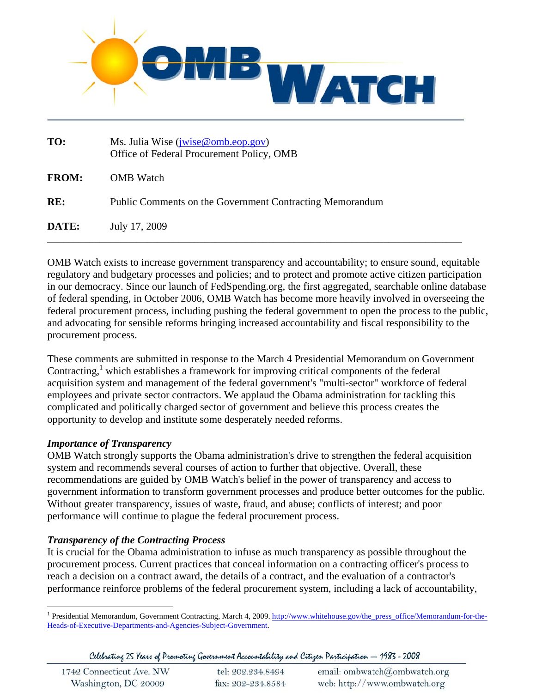

| TO:          | Ms. Julia Wise ( <i>jwise@omb.eop.gov</i> )<br>Office of Federal Procurement Policy, OMB |
|--------------|------------------------------------------------------------------------------------------|
| <b>FROM:</b> | <b>OMB</b> Watch                                                                         |
| RE:          | Public Comments on the Government Contracting Memorandum                                 |
| DATE:        | July 17, 2009                                                                            |

OMB Watch exists to increase government transparency and accountability; to ensure sound, equitable regulatory and budgetary processes and policies; and to protect and promote active citizen participation in our democracy. Since our launch of FedSpending.org, the first aggregated, searchable online database of federal spending, in October 2006, OMB Watch has become more heavily involved in overseeing the federal procurement process, including pushing the federal government to open the process to the public, and advocating for sensible reforms bringing increased accountability and fiscal responsibility to the procurement process.

These comments are submitted in response to the March 4 Presidential Memorandum on Government Contracting, $<sup>1</sup>$  which establishes a framework for improving critical components of the federal</sup> acquisition system and management of the federal government's "multi-sector" workforce of federal employees and private sector contractors. We applaud the Obama administration for tackling this complicated and politically charged sector of government and believe this process creates the opportunity to develop and institute some desperately needed reforms.

# *Importance of Transparency*

OMB Watch strongly supports the Obama administration's drive to strengthen the federal acquisition system and recommends several courses of action to further that objective. Overall, these recommendations are guided by OMB Watch's belief in the power of transparency and access to government information to transform government processes and produce better outcomes for the public. Without greater transparency, issues of waste, fraud, and abuse; conflicts of interest; and poor performance will continue to plague the federal procurement process.

### *Transparency of the Contracting Process*

It is crucial for the Obama administration to infuse as much transparency as possible throughout the procurement process. Current practices that conceal information on a contracting officer's process to reach a decision on a contract award, the details of a contract, and the evaluation of a contractor's performance reinforce problems of the federal procurement system, including a lack of accountability,

Celebrating 25 Years of Promoting Government Accountability and Citizen Participation — 1983 - 2008

| 1742 Connecticut Ave. NW | tel: 202.234.8494 | email: ombwatch@ombwatch.org |  |
|--------------------------|-------------------|------------------------------|--|
| Washington, DC 20009     | fax: 202-234.8584 | web: http://www.ombwatch.org |  |

 $\overline{a}$ <sup>1</sup> Presidential Memorandum, Government Contracting, March 4, 2009. http://www.whitehouse.gov/the\_press\_office/Memorandum-for-the-Heads-of-Executive-Departments-and-Agencies-Subject-Government.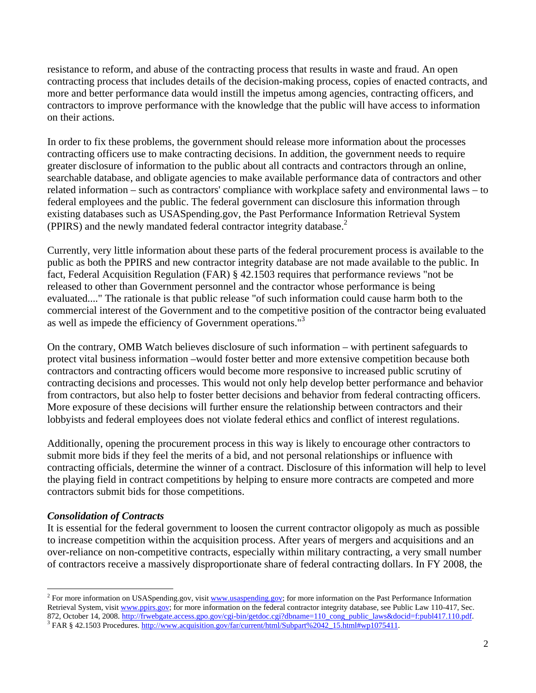resistance to reform, and abuse of the contracting process that results in waste and fraud. An open contracting process that includes details of the decision-making process, copies of enacted contracts, and more and better performance data would instill the impetus among agencies, contracting officers, and contractors to improve performance with the knowledge that the public will have access to information on their actions.

In order to fix these problems, the government should release more information about the processes contracting officers use to make contracting decisions. In addition, the government needs to require greater disclosure of information to the public about all contracts and contractors through an online, searchable database, and obligate agencies to make available performance data of contractors and other related information – such as contractors' compliance with workplace safety and environmental laws – to federal employees and the public. The federal government can disclosure this information through existing databases such as USASpending.gov, the Past Performance Information Retrieval System (PPIRS) and the newly mandated federal contractor integrity database.<sup>2</sup>

Currently, very little information about these parts of the federal procurement process is available to the public as both the PPIRS and new contractor integrity database are not made available to the public. In fact, Federal Acquisition Regulation (FAR) § 42.1503 requires that performance reviews "not be released to other than Government personnel and the contractor whose performance is being evaluated...." The rationale is that public release "of such information could cause harm both to the commercial interest of the Government and to the competitive position of the contractor being evaluated as well as impede the efficiency of Government operations."3

On the contrary, OMB Watch believes disclosure of such information – with pertinent safeguards to protect vital business information –would foster better and more extensive competition because both contractors and contracting officers would become more responsive to increased public scrutiny of contracting decisions and processes. This would not only help develop better performance and behavior from contractors, but also help to foster better decisions and behavior from federal contracting officers. More exposure of these decisions will further ensure the relationship between contractors and their lobbyists and federal employees does not violate federal ethics and conflict of interest regulations.

Additionally, opening the procurement process in this way is likely to encourage other contractors to submit more bids if they feel the merits of a bid, and not personal relationships or influence with contracting officials, determine the winner of a contract. Disclosure of this information will help to level the playing field in contract competitions by helping to ensure more contracts are competed and more contractors submit bids for those competitions.

### *Consolidation of Contracts*

1

It is essential for the federal government to loosen the current contractor oligopoly as much as possible to increase competition within the acquisition process. After years of mergers and acquisitions and an over-reliance on non-competitive contracts, especially within military contracting, a very small number of contractors receive a massively disproportionate share of federal contracting dollars. In FY 2008, the

<sup>&</sup>lt;sup>2</sup> For more information on USASpending.gov, visit **www.usaspending.gov**; for more information on the Past Performance Information Retrieval System, visit www.ppirs.gov; for more information on the federal contractor integrity database, see Public Law 110-417, Sec. 872, October 14, 2008. http://frwebgate.access.gpo.gov/cgi-bin/getdoc.cgi?dbname=110\_cong\_public\_laws&docid=f:publ417.110.pdf. FAR § 42.1503 Procedures. http://www.acquisition.gov/far/current/html/Subpart%2042\_15.html#wp1075411.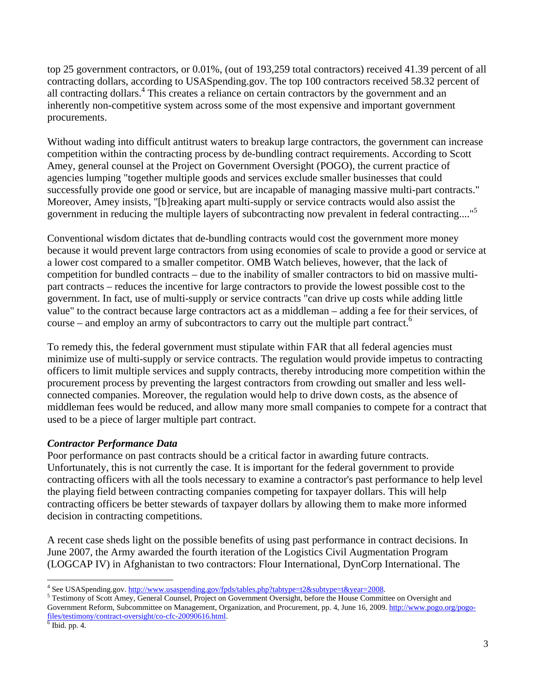top 25 government contractors, or 0.01%, (out of 193,259 total contractors) received 41.39 percent of all contracting dollars, according to USASpending.gov. The top 100 contractors received 58.32 percent of all contracting dollars.<sup>4</sup> This creates a reliance on certain contractors by the government and an inherently non-competitive system across some of the most expensive and important government procurements.

Without wading into difficult antitrust waters to breakup large contractors, the government can increase competition within the contracting process by de-bundling contract requirements. According to Scott Amey, general counsel at the Project on Government Oversight (POGO), the current practice of agencies lumping "together multiple goods and services exclude smaller businesses that could successfully provide one good or service, but are incapable of managing massive multi-part contracts." Moreover, Amey insists, "[b]reaking apart multi-supply or service contracts would also assist the government in reducing the multiple layers of subcontracting now prevalent in federal contracting...."5

Conventional wisdom dictates that de-bundling contracts would cost the government more money because it would prevent large contractors from using economies of scale to provide a good or service at a lower cost compared to a smaller competitor. OMB Watch believes, however, that the lack of competition for bundled contracts – due to the inability of smaller contractors to bid on massive multipart contracts – reduces the incentive for large contractors to provide the lowest possible cost to the government. In fact, use of multi-supply or service contracts "can drive up costs while adding little value" to the contract because large contractors act as a middleman – adding a fee for their services, of course – and employ an army of subcontractors to carry out the multiple part contract.<sup>6</sup>

To remedy this, the federal government must stipulate within FAR that all federal agencies must minimize use of multi-supply or service contracts. The regulation would provide impetus to contracting officers to limit multiple services and supply contracts, thereby introducing more competition within the procurement process by preventing the largest contractors from crowding out smaller and less wellconnected companies. Moreover, the regulation would help to drive down costs, as the absence of middleman fees would be reduced, and allow many more small companies to compete for a contract that used to be a piece of larger multiple part contract.

# *Contractor Performance Data*

Poor performance on past contracts should be a critical factor in awarding future contracts. Unfortunately, this is not currently the case. It is important for the federal government to provide contracting officers with all the tools necessary to examine a contractor's past performance to help level the playing field between contracting companies competing for taxpayer dollars. This will help contracting officers be better stewards of taxpayer dollars by allowing them to make more informed decision in contracting competitions.

A recent case sheds light on the possible benefits of using past performance in contract decisions. In June 2007, the Army awarded the fourth iteration of the Logistics Civil Augmentation Program (LOGCAP IV) in Afghanistan to two contractors: Flour International, DynCorp International. The

 $\overline{a}$ <sup>4</sup> See USASpending.gov. http://www.usaspending.gov/fpds/tables.php?tabtype=t2&subtype=t&year=2008.<br><sup>5</sup> Testimony of Soott Amay, General Councel, Project on Government Quargicht, before the House Committ

<sup>&</sup>lt;sup>5</sup> Testimony of Scott Amey, General Counsel, Project on Government Oversight, before the House Committee on Oversight and Government Reform, Subcommittee on Management, Organization, and Procurement, pp. 4, June 16, 2009. http://www.pogo.org/pogofiles/testimony/contract-oversight/co-cfc-20090616.html. 6

 $6$  Ibid. pp. 4.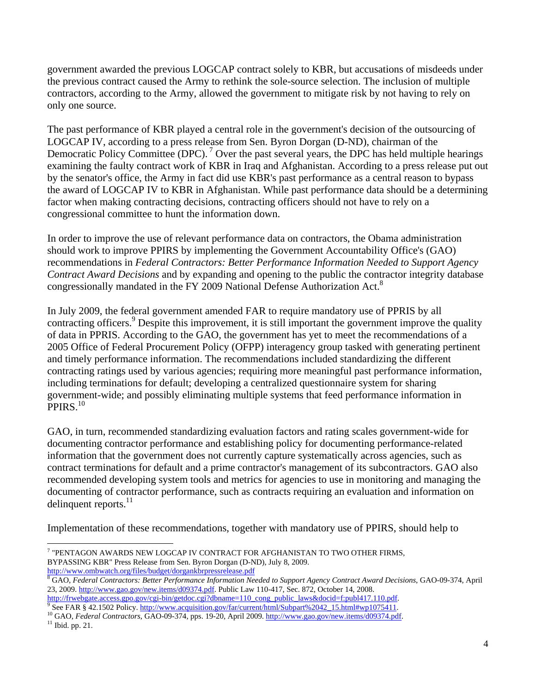government awarded the previous LOGCAP contract solely to KBR, but accusations of misdeeds under the previous contract caused the Army to rethink the sole-source selection. The inclusion of multiple contractors, according to the Army, allowed the government to mitigate risk by not having to rely on only one source.

The past performance of KBR played a central role in the government's decision of the outsourcing of LOGCAP IV, according to a press release from Sen. Byron Dorgan (D-ND), chairman of the Democratic Policy Committee (DPC).<sup>7</sup> Over the past several years, the DPC has held multiple hearings examining the faulty contract work of KBR in Iraq and Afghanistan. According to a press release put out by the senator's office, the Army in fact did use KBR's past performance as a central reason to bypass the award of LOGCAP IV to KBR in Afghanistan. While past performance data should be a determining factor when making contracting decisions, contracting officers should not have to rely on a congressional committee to hunt the information down.

In order to improve the use of relevant performance data on contractors, the Obama administration should work to improve PPIRS by implementing the Government Accountability Office's (GAO) recommendations in *Federal Contractors: Better Performance Information Needed to Support Agency Contract Award Decisions* and by expanding and opening to the public the contractor integrity database congressionally mandated in the FY 2009 National Defense Authorization Act.<sup>8</sup>

In July 2009, the federal government amended FAR to require mandatory use of PPRIS by all contracting officers.<sup>9</sup> Despite this improvement, it is still important the government improve the quality of data in PPRIS. According to the GAO, the government has yet to meet the recommendations of a 2005 Office of Federal Procurement Policy (OFPP) interagency group tasked with generating pertinent and timely performance information. The recommendations included standardizing the different contracting ratings used by various agencies; requiring more meaningful past performance information, including terminations for default; developing a centralized questionnaire system for sharing government-wide; and possibly eliminating multiple systems that feed performance information in PPIRS.<sup>10</sup>

GAO, in turn, recommended standardizing evaluation factors and rating scales government-wide for documenting contractor performance and establishing policy for documenting performance-related information that the government does not currently capture systematically across agencies, such as contract terminations for default and a prime contractor's management of its subcontractors. GAO also recommended developing system tools and metrics for agencies to use in monitoring and managing the documenting of contractor performance, such as contracts requiring an evaluation and information on delinquent reports. $^{11}$ 

Implementation of these recommendations, together with mandatory use of PPIRS, should help to

1

<sup>7</sup> "PENTAGON AWARDS NEW LOGCAP IV CONTRACT FOR AFGHANISTAN TO TWO OTHER FIRMS, BYPASSING KBR" Press Release from Sen. Byron Dorgan (D-ND), July 8, 2009. http://www.ombwatch.org/files/budget/dorgankbrpressrelease.pdf 8

GAO, *Federal Contractors: Better Performance Information Needed to Support Agency Contract Award Decisions*, GAO-09-374, April 23, 2009. http://www.gao.gov/new.items/d09374.pdf. Public Law 110-417, Sec. 872, October 14, 2008.

http://frwebgate.access.gpo.gov/cgi-bin/getdoc.cgi?dbname=110\_cong\_public\_laws&docid=f:publ417.110.pdf.<br>9 See FAR § 42.1502 Policy. http://www.acquisition.gov/far/current/html/Subpart%2042\_15.html#wp1075411.

<sup>&</sup>lt;sup>10</sup> GAO, *Federal Contractors*, GAO-09-374, pps. 19-20, April 2009. http://www.gao.gov/new.items/d09374.pdf. <sup>11</sup> Ibid. pp. 21.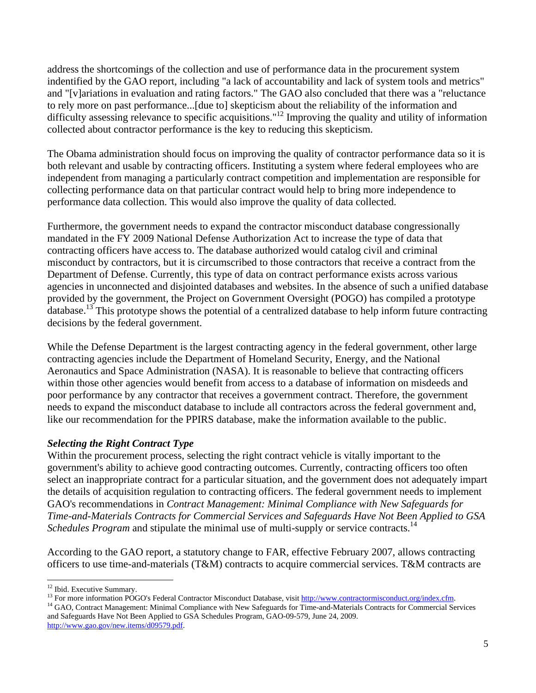address the shortcomings of the collection and use of performance data in the procurement system indentified by the GAO report, including "a lack of accountability and lack of system tools and metrics" and "[v]ariations in evaluation and rating factors." The GAO also concluded that there was a "reluctance to rely more on past performance...[due to] skepticism about the reliability of the information and difficulty assessing relevance to specific acquisitions."<sup>12</sup> Improving the quality and utility of information collected about contractor performance is the key to reducing this skepticism.

The Obama administration should focus on improving the quality of contractor performance data so it is both relevant and usable by contracting officers. Instituting a system where federal employees who are independent from managing a particularly contract competition and implementation are responsible for collecting performance data on that particular contract would help to bring more independence to performance data collection. This would also improve the quality of data collected.

Furthermore, the government needs to expand the contractor misconduct database congressionally mandated in the FY 2009 National Defense Authorization Act to increase the type of data that contracting officers have access to. The database authorized would catalog civil and criminal misconduct by contractors, but it is circumscribed to those contractors that receive a contract from the Department of Defense. Currently, this type of data on contract performance exists across various agencies in unconnected and disjointed databases and websites. In the absence of such a unified database provided by the government, the Project on Government Oversight (POGO) has compiled a prototype database.13 This prototype shows the potential of a centralized database to help inform future contracting decisions by the federal government.

While the Defense Department is the largest contracting agency in the federal government, other large contracting agencies include the Department of Homeland Security, Energy, and the National Aeronautics and Space Administration (NASA). It is reasonable to believe that contracting officers within those other agencies would benefit from access to a database of information on misdeeds and poor performance by any contractor that receives a government contract. Therefore, the government needs to expand the misconduct database to include all contractors across the federal government and, like our recommendation for the PPIRS database, make the information available to the public.

# *Selecting the Right Contract Type*

Within the procurement process, selecting the right contract vehicle is vitally important to the government's ability to achieve good contracting outcomes. Currently, contracting officers too often select an inappropriate contract for a particular situation, and the government does not adequately impart the details of acquisition regulation to contracting officers. The federal government needs to implement GAO's recommendations in *Contract Management: Minimal Compliance with New Safeguards for Time-and-Materials Contracts for Commercial Services and Safeguards Have Not Been Applied to GSA Schedules Program* and stipulate the minimal use of multi-supply or service contracts.<sup>14</sup>

According to the GAO report, a statutory change to FAR, effective February 2007, allows contracting officers to use time-and-materials (T&M) contracts to acquire commercial services. T&M contracts are

<sup>14</sup> GAO, Contract Management: Minimal Compliance with New Safeguards for Time-and-Materials Contracts for Commercial Services and Safeguards Have Not Been Applied to GSA Schedules Program, GAO-09-579, June 24, 2009. http://www.gao.gov/new.items/d09579.pdf.

<sup>1</sup> 

<sup>&</sup>lt;sup>12</sup> Ibid. Executive Summary.<br><sup>13</sup> For more information POGO's Federal Contractor Misconduct Database, visit http://www.contractormisconduct.org/index.cfm.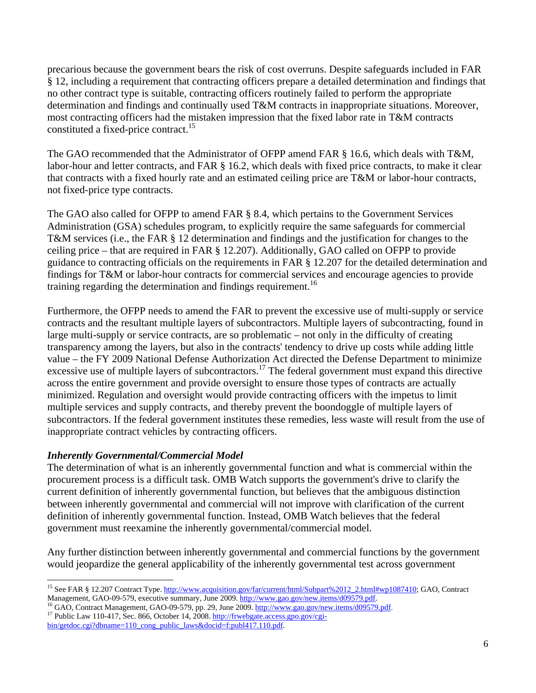precarious because the government bears the risk of cost overruns. Despite safeguards included in FAR § 12, including a requirement that contracting officers prepare a detailed determination and findings that no other contract type is suitable, contracting officers routinely failed to perform the appropriate determination and findings and continually used T&M contracts in inappropriate situations. Moreover, most contracting officers had the mistaken impression that the fixed labor rate in T&M contracts constituted a fixed-price contract.<sup>15</sup>

The GAO recommended that the Administrator of OFPP amend FAR § 16.6, which deals with T&M, labor-hour and letter contracts, and FAR § 16.2, which deals with fixed price contracts, to make it clear that contracts with a fixed hourly rate and an estimated ceiling price are T&M or labor-hour contracts, not fixed-price type contracts.

The GAO also called for OFPP to amend FAR § 8.4, which pertains to the Government Services Administration (GSA) schedules program, to explicitly require the same safeguards for commercial T&M services (i.e., the FAR § 12 determination and findings and the justification for changes to the ceiling price – that are required in FAR § 12.207). Additionally, GAO called on OFPP to provide guidance to contracting officials on the requirements in FAR § 12.207 for the detailed determination and findings for T&M or labor-hour contracts for commercial services and encourage agencies to provide training regarding the determination and findings requirement.<sup>16</sup>

Furthermore, the OFPP needs to amend the FAR to prevent the excessive use of multi-supply or service contracts and the resultant multiple layers of subcontractors. Multiple layers of subcontracting, found in large multi-supply or service contracts, are so problematic – not only in the difficulty of creating transparency among the layers, but also in the contracts' tendency to drive up costs while adding little value – the FY 2009 National Defense Authorization Act directed the Defense Department to minimize excessive use of multiple layers of subcontractors.<sup>17</sup> The federal government must expand this directive across the entire government and provide oversight to ensure those types of contracts are actually minimized. Regulation and oversight would provide contracting officers with the impetus to limit multiple services and supply contracts, and thereby prevent the boondoggle of multiple layers of subcontractors. If the federal government institutes these remedies, less waste will result from the use of inappropriate contract vehicles by contracting officers.

# *Inherently Governmental/Commercial Model*

The determination of what is an inherently governmental function and what is commercial within the procurement process is a difficult task. OMB Watch supports the government's drive to clarify the current definition of inherently governmental function, but believes that the ambiguous distinction between inherently governmental and commercial will not improve with clarification of the current definition of inherently governmental function. Instead, OMB Watch believes that the federal government must reexamine the inherently governmental/commercial model.

Any further distinction between inherently governmental and commercial functions by the government would jeopardize the general applicability of the inherently governmental test across government

 $\overline{a}$ <sup>15</sup> See FAR § 12.207 Contract Type. http://www.acquisition.gov/far/current/html/Subpart%2012\_2.html#wp1087410; GAO, Contract Management, GAO-09-579, executive summary, June 2009. http://www.gao.gov/new.items/d09579.pdf.

<sup>&</sup>lt;sup>16</sup> GAO, Contract Management, GAO-09-579, pp. 29, June 2009. http://www.gao.gov/new.items/d09579.pdf.<br><sup>17</sup> Public Law 110-417, Sec. 866, October 14, 2008. http://frwebgate.access.gpo.gov/cgibin/getdoc.cgi?dbname=110\_cong\_public\_laws&docid=f:publ417.110.pdf.